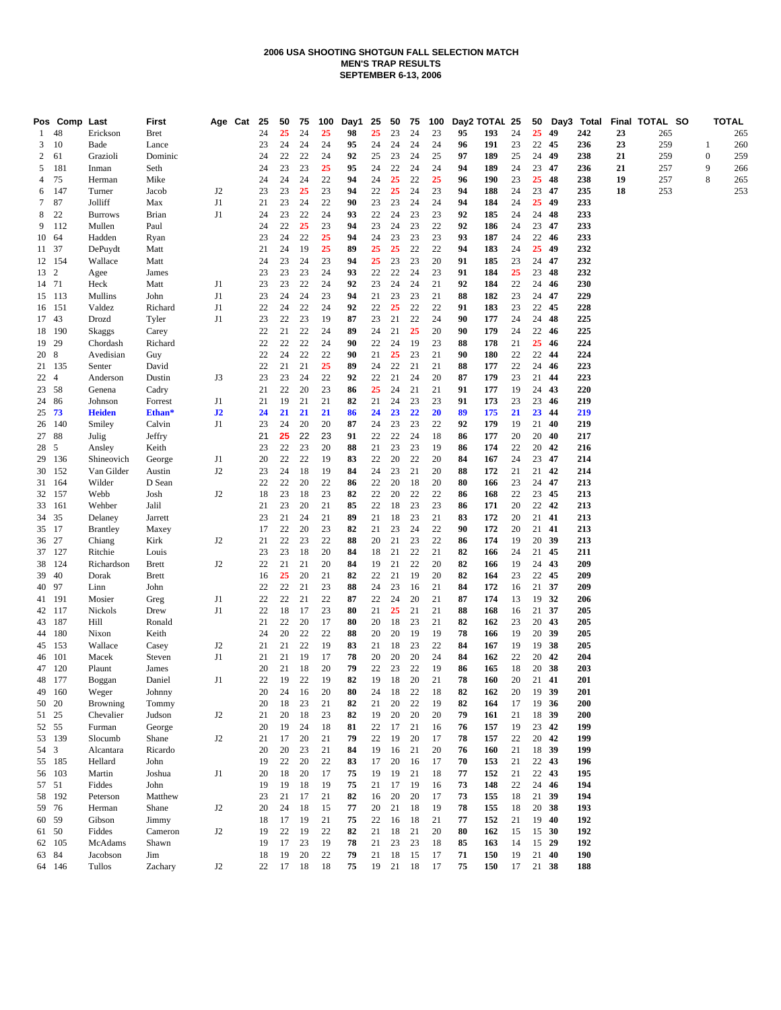#### **2006 USA SHOOTING SHOTGUN FALL SELECTION MATCH MEN'S TRAP RESULTS SEPTEMBER 6-13, 2006**

|                 | Pos Comp Last |                     | First        | Age Cat        | 25       | 50       | 75       | 100      | Day1     | 25       | 50       | 75       | 100      |          | Day2 TOTAL 25 |          | 50    |          | Day3 Total |    | Final TOTAL SO |     |                  | <b>TOTAL</b> |
|-----------------|---------------|---------------------|--------------|----------------|----------|----------|----------|----------|----------|----------|----------|----------|----------|----------|---------------|----------|-------|----------|------------|----|----------------|-----|------------------|--------------|
| -1              | 48            | Erickson            | <b>Bret</b>  |                | 24       | 25       | 24       | 25       | 98       | 25       | 23       | 24       | 23       | 95       | 193           | 24       | 25    | 49       | 242        | 23 |                | 265 |                  | 265          |
| 3               | 10            | Bade                | Lance        |                | 23       | 24       | 24       | 24       | 95       | 24       | 24       | 24       | 24       | 96       | 191           | 23       | 22    | 45       | 236        | 23 |                | 259 | 1                | 260          |
| 2               | 61            | Grazioli            | Dominic      |                | 24       | 22       | 22       | 24       | 92       | 25       | 23       | 24       | 25       | 97       | 189           | 25       | 24    | 49       | 238        | 21 |                | 259 | $\boldsymbol{0}$ | 259          |
| 5               | 181           | Inman               | Seth         |                | 24       | 23       | 23       | 25       | 95       | 24       | 22       | 24       | 24       | 94       | 189           | 24       | 23    | 47       | 236        | 21 |                | 257 | 9                | 266          |
| 4               | 75            | Herman              | Mike         |                | 24       | 24       | 24       | 22       | 94       | 24       | 25       | 22       | 25       | 96       | 190           | 23       | 25    | 48       | 238        | 19 |                | 257 | 8                | 265          |
| 6               | 147           | Turner              | Jacob        | J <sub>2</sub> | 23       | 23       | 25       | 23       | 94       | 22       | 25       | 24       | 23       | 94       | 188           | 24       | 23    | 47       | 235        | 18 |                | 253 |                  | 253          |
| $7\phantom{.0}$ | 87            | Jolliff             | Max          | J1             | 21       | 23       | 24       | 22       | 90       | 23       | 23       | 24       | 24       | 94       | 184           | 24       | 25    | 49       | 233        |    |                |     |                  |              |
| 8               | 22            | <b>Burrows</b>      | Brian        | J1             | 24       | 23       | 22       | 24       | 93       | 22       | 24       | 23       | 23       | 92       | 185           | 24       | 24    | 48       | 233        |    |                |     |                  |              |
| 9               | 112           | Mullen              | Paul         |                | 24       | 22       | 25       | 23       | 94       | 23       | 24       | 23       | 22       | 92       | 186           | 24       | 23    | 47       | 233        |    |                |     |                  |              |
| 10 64           |               | Hadden              | Ryan         |                | 23       | 24       | 22       | 25       | 94       | 24       | 23       | 23       | 23       | 93       | 187           | 24       | 22    | 46       | 233        |    |                |     |                  |              |
| 11 37           |               | DePuydt             | Matt         |                | 21       | 24       | 19       | 25       | 89       | 25       | 25       | 22       | 22       | 94       | 183           | 24       | 25    | 49       | 232        |    |                |     |                  |              |
| 12 154          |               | Wallace             | Matt         |                | 24       | 23       | 24       | 23       | 94       | 25       | 23       | 23       | 20       | 91       | 185           | 23       | 24    | 47       | 232        |    |                |     |                  |              |
| 13 2            |               | Agee                | James        |                | 23       | 23       | 23       | 24       | 93       | 22       | 22       | 24       | 23       | 91       | 184           | 25       | 23    | 48       | 232        |    |                |     |                  |              |
| 14 71           |               | Heck                | Matt         | J1             | 23       | 23       | 22       | 24       | 92       | 23       | 24       | 24       | 21       | 92       | 184           | 22       | 24    | 46       | 230        |    |                |     |                  |              |
| 15 113          |               | Mullins             | John         | J1             | 23       | 24       | 24       | 23       | 94       | 21       | 23       | 23       | 21       | 88       | 182           | 23       | 24    | 47       | 229        |    |                |     |                  |              |
| 16 151          |               | Valdez              | Richard      | J1             | 22       | 24       | 22       | 24       | 92       | 22       | 25       | 22       | 22       | 91       | 183           | 23       | 22 45 |          | 228        |    |                |     |                  |              |
| 17 43           |               | Drozd               | Tyler        | J1             | 23       | 22       | 23       | 19       | 87       | 23       | 21       | 22       | 24       | 90       | 177           | 24       | 24    | 48       | 225        |    |                |     |                  |              |
| 18 190          |               | Skaggs              | Carey        |                | 22       | 21       | 22       | 24       | 89       | 24       | 21       | 25       | 20       | 90       | 179           | 24       | 22    | 46       | 225        |    |                |     |                  |              |
| 19 29           |               | Chordash            | Richard      |                | 22       | 22       | 22       | 24       | 90       | 22       | 24       | 19       | 23       | 88       | 178           | 21       | 25    | 46       | 224        |    |                |     |                  |              |
| 20 8            |               | Avedisian           | Guy          |                | 22       | 24       | 22       | 22       | 90       | 21       | 25       | 23       | 21       | 90       | 180           | 22       | 22    | 44       | 224        |    |                |     |                  |              |
|                 | 21 135        | Senter              | David        |                | 22       | 21       | 21       | 25       | 89       | 24       | 22       | 21       | 21       | 88       | 177           | 22       | 24    | 46       | 223        |    |                |     |                  |              |
| 22 4            |               | Anderson            | Dustin       | J3             | 23       | 23       | 24       | 22       | 92       | 22       | 21       | 24       | 20       | 87       | 179           | 23       | 21    | 44       | 223        |    |                |     |                  |              |
| 23 58           |               | Genena              | Cadry        |                | 21       | 22       | 20       | 23       | 86       | 25       | 24       | 21       | 21       | 91       | 177           | 19       | 24    | 43       | 220        |    |                |     |                  |              |
| 24 86           |               | Johnson             | Forrest      | J1             | 21       | 19       | 21       | 21       | 82       | 21       | 24       | 23       | 23       | 91       | 173           | 23       | 23    | 46       | 219        |    |                |     |                  |              |
| $25 \t 73$      |               | <b>Heiden</b>       | Ethan*       | J2             | 24       | 21       | 21       | 21       | 86       | 24       | 23       | 22       | 20       | 89       | 175           | 21       | 23    | 44       | 219        |    |                |     |                  |              |
| 26 140          |               | Smiley              | Calvin       | J1             | 23       | 24       | 20       | 20       | 87       | 24       | 23       | 23       | 22       | 92       | 179           | 19       | 21    | 40       | 219        |    |                |     |                  |              |
| 27 88           |               | Julig               | Jeffry       |                | 21       | 25       | 22       | 23       | 91       | 22       | 22       | 24       | 18       | 86       | 177           | 20       | 20    | 40       | 217        |    |                |     |                  |              |
| 28 5            |               | Ansley              | Keith        |                | 23       | 22       | 23       | 20       | 88       | $21\,$   | 23       | 23       | 19       | 86       | 174           | 22       | 20    | 42       | 216        |    |                |     |                  |              |
| 29 136          |               | Shineovich          | George       | J1             | 20       | 22       | 22       | 19       | 83       | 22       | 20       | 22       | 20       | 84       | 167           | 24       | 23    | 47       | 214        |    |                |     |                  |              |
| 30 152          |               | Van Gilder          | Austin       | J2             | 23       | 24       | 18       | 19       | 84       | 24       | 23       | 21       | 20       | 88       | 172           | 21       | 21    | 42       | 214        |    |                |     |                  |              |
| 31 164          |               | Wilder              | D Sean       |                | 22       | 22       | 20       | 22       | 86       | 22       | 20       | 18       | 20       | 80       | 166           | 23       | 24    | 47       | 213        |    |                |     |                  |              |
|                 | 32 157        | Webb                | Josh         | J2             | 18       | 23       | 18       | 23       | 82       | 22       | 20       | 22       | 22       | 86       | 168           | 22       | 23    | 45       | 213        |    |                |     |                  |              |
| 33 161          |               | Wehber              | Jalil        |                | 21       | 23       | 20       | 21       | 85       | 22       | 18       | 23       | 23       | 86       | 171           | 20       | 22    | 42       | 213        |    |                |     |                  |              |
| 34 35           |               | Delaney             | Jarrett      |                | 23       | 21       | 24       | 21       | 89       | 21       | 18       | 23       | 21       | 83       | 172           | 20       | 21    | 41       | 213        |    |                |     |                  |              |
| 35 17           |               | <b>Brantley</b>     | Maxey        |                | 17       | 22       | 20       | 23       | 82       | 21       | 23       | 24       | 22       | 90       | 172           | 20       | 21    | 41       | 213        |    |                |     |                  |              |
| 36 27           |               | Chiang              | Kirk         | J <sub>2</sub> | 21       | 22       | 23       | 22       | 88       | 20       | 21       | 23       | 22       | 86       | 174           | 19       | 20    | 39       | 213        |    |                |     |                  |              |
| 37 127          |               | Ritchie             | Louis        |                | 23       | 23       | 18       | 20       | 84       | 18       | 21       | 22       | 21       | 82       | 166           | 24       | 21 45 |          | 211        |    |                |     |                  |              |
|                 | 38 124        | Richardson          | <b>Brett</b> | J <sub>2</sub> | 22       | 21       | 21       | 20       | 84       | 19       | 21       | 22       | 20       | 82       | 166           | 19       | 24    | 43       | 209        |    |                |     |                  |              |
| 39 40           |               | Dorak               | <b>Brett</b> |                | 16       | 25       | 20       | 21       | 82       | 22       | 21       | 19       | 20       | 82       | 164           | 23       | 22    | 45       | 209        |    |                |     |                  |              |
| 40 97           |               | Linn                | John         |                | 22       | 22       | 21       | 23       | 88       | 24       | 23       | 16       | 21       | 84       | 172           | 16       | 21    | 37       | 209        |    |                |     |                  |              |
| 41 191          |               | Mosier              | Greg         | J1             | 22       | 22       | 21       | 22       | 87       | 22       | 24       | 20       | 21       | 87       | 174           | 13       | 19 32 |          | 206        |    |                |     |                  |              |
| 42 117          |               | Nickols             | Drew         | J1             | 22       | 18       | 17       | 23       | 80       | 21       | 25       | 21       | 21       | 88       | 168           | 16       | 21 37 |          | 205        |    |                |     |                  |              |
| 43 187          |               | Hill                | Ronald       |                | 21       | 22       | 20       | 17       | 80       | 20       | 18       | 23       | 21       | 82       | 162           | 23       | 20 43 |          | 205        |    |                |     |                  |              |
| 44 180          |               | Nixon               | Keith        |                | 24       | 20       | 22       | 22       | 88       | 20       | 20       | 19       | 19       | 78       | 166           | 19       | 20    | -39      | 205        |    |                |     |                  |              |
| 45 153          |               | Wallace             | Casey        | J2             | 21       | 21       | 22       | 19       | 83       | 21       | 18       | 23       | 22       | 84       | 167           | 19       |       | 19 38    | 205        |    |                |     |                  |              |
| 46 101          |               | Macek               | Steven       | J1             | 21       | 21       | 19       | 17       | 78       | 20       | 20       | 20       | 24       | 84       | 162           | 22       | 20    | 42       | 204        |    |                |     |                  |              |
| 47 120          |               | Plaunt              | James        |                | 20       | 21       | 18       | 20       | 79       | 22       | 23       | 22       | 19       | 86       | 165           | 18       | 20 38 |          | 203        |    |                |     |                  |              |
| 48 177          |               | Boggan              | Daniel       | J1             | 22       | 19       | 22       | 19       | 82       | 19       | 18       | 20       | 21       | 78       | 160           | 20       | 21    | 41       | 201        |    |                |     |                  |              |
|                 | 49 160        | Weger               | Johnny       |                | 20       | 24       | 16       | 20       | 80       | 24       | 18       | 22       | 18       | 82       | 162           | 20       | 19    | - 39     | 201        |    |                |     |                  |              |
| 50 20           |               | Browning            | Tommy        |                | 20       | 18       | 23       | 21       | 82       | 21       | 20       | 22       | 19       | 82       | 164           | 17       | 19    | - 36     | 200        |    |                |     |                  |              |
| 51 25           |               | Chevalier           | Judson       | J <sub>2</sub> | 21       | 20       | 18       | 23       | 82       | 19       | 20       | 20       | 20       | 79       | 161           | 21       | 18    | - 39     | 200        |    |                |     |                  |              |
| 52 55           |               | Furman              | George       |                | 20       | 19       | 24       | 18       | 81       | 22       | 17       | 21       | 16       | 76       | 157           | 19       | 23    | 42       | 199        |    |                |     |                  |              |
| 53 139          |               | Slocumb             | Shane        | J <sub>2</sub> | 21       | 17       | 20       | 21       | 79       | 22       | 19       | 20       | 17       | 78       | 157           | 22       | 20    | 42       | 199        |    |                |     |                  |              |
| 54 3            |               | Alcantara           | Ricardo      |                | 20       | 20       | 23       | 21       | 84       | 19       | 16       | 21       | 20       | 76       | 160           | 21       | 18    | - 39     | 199        |    |                |     |                  |              |
| 55 185          |               | Hellard             | John         |                | 19       | 22       | 20       | 22       | 83       | 17       | 20       | 16       | 17       | 70       | 153           | 21       |       | 22 43    | 196        |    |                |     |                  |              |
| 56 103          |               | Martin              | Joshua       | J1             | 20       | 18       | 20       | 17       | 75       | 19       | 19       | 21       | 18       | 77       | 152           | 21       | 22    | 43       | 195        |    |                |     |                  |              |
| 57 51           |               | Fiddes              | John         |                | 19       | 19       | 18       | 19       | 75       | 21       | 17       | 19       | 16       | 73       | 148           | 22       | 24    | 46       | 194        |    |                |     |                  |              |
|                 |               |                     |              |                |          | 21       |          |          |          |          | 20       | 20       |          |          |               |          | 21 39 |          | 194        |    |                |     |                  |              |
| 58 192          |               | Peterson            | Matthew      |                | 23       |          | 17<br>18 | 21       | 82       | 16       |          |          | 17       | 73       | 155           | 18       |       |          |            |    |                |     |                  |              |
| 59 76<br>60 59  |               | Herman<br>Gibson    | Shane        | J <sub>2</sub> | 20       | 24<br>17 |          | 15       | 77<br>75 | 20<br>22 | 21<br>16 | 18<br>18 | 19<br>21 | 78<br>77 | 155           | 18       | 20    | 38<br>40 | 193<br>192 |    |                |     |                  |              |
|                 |               | Fiddes              | Jimmy        |                | 18       | 22       | 19<br>19 | 21<br>22 | 82       | 21       | 18       | 21       | 20       | 80       | 152           | 21       | 19    | 15 30    | 192        |    |                |     |                  |              |
| 61 50           |               |                     | Cameron      | J2             | 19       |          |          |          |          |          |          |          |          |          | 162           | 15       |       |          |            |    |                |     |                  |              |
| 62 105<br>63 84 |               | McAdams<br>Jacobson | Shawn        |                | 19       | 17<br>19 | 23<br>20 | 19<br>22 | 78<br>79 | 21<br>21 | 23<br>18 | 23<br>15 | 18<br>17 | 85       | 163           | 14<br>19 | 15 29 |          | 192<br>190 |    |                |     |                  |              |
|                 | 64 146        |                     | Jim          | J <sub>2</sub> | 18<br>22 |          | 18       |          | 75       |          |          | 18       | 17       | 71<br>75 | 150           | 17       |       | 21 40    | 188        |    |                |     |                  |              |
|                 |               | Tullos              | Zachary      |                |          | 17       |          | 18       |          | 19       | 21       |          |          |          | 150           |          | 21 38 |          |            |    |                |     |                  |              |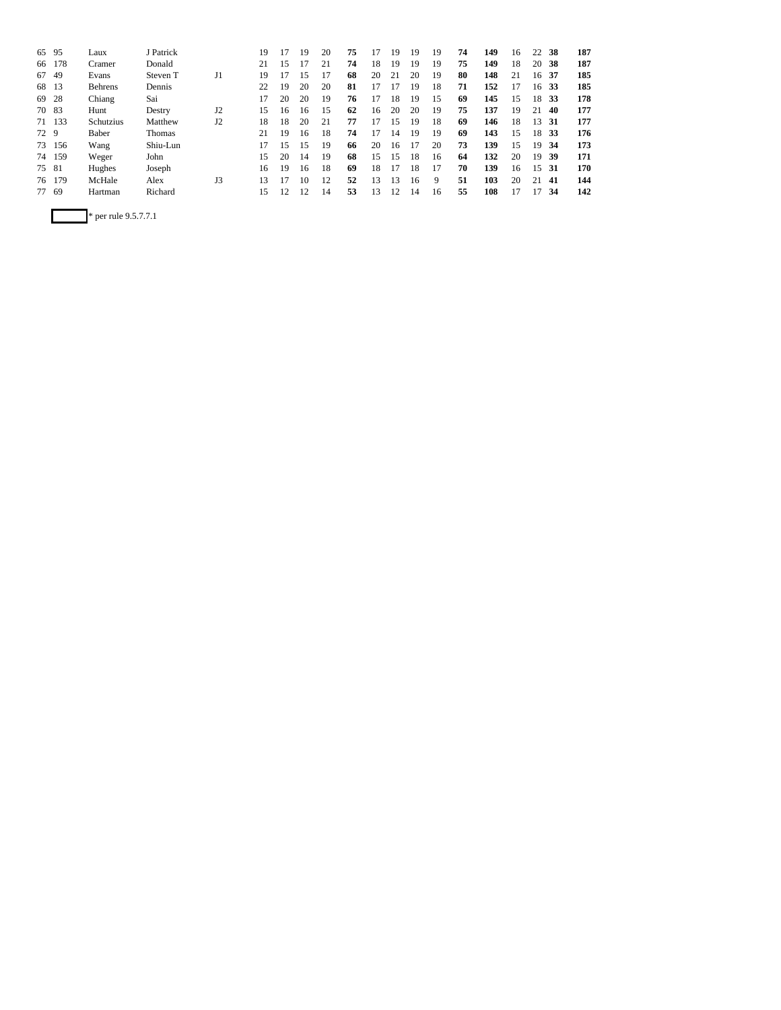| 65   | 95     | Laux           | J Patrick     |                | 19 |    | 19 | 20 | 75 |    | 19 | 19 | 19 | 74 | 149 | 16 | 22 | 38  | 187 |
|------|--------|----------------|---------------|----------------|----|----|----|----|----|----|----|----|----|----|-----|----|----|-----|-----|
| 66   | 178    | Cramer         | Donald        |                | 21 | 15 |    |    | 74 | 18 | 19 | 19 | 19 | 75 | 149 | 18 | 20 | 38  | 187 |
| 67   | 49     | Evans          | Steven T      | J1             | 19 | 17 | 15 |    | 68 | 20 | 21 | 20 | 19 | 80 | 148 | 21 | 16 | 37  | 185 |
| 68   | 13     | <b>Behrens</b> | Dennis        |                | 22 | 19 | 20 | 20 | 81 | 17 | 17 | 19 | 18 | 71 | 152 | 17 | 16 | 33  | 185 |
| 69   | 28     | Chiang         | Sai           |                | 17 | 20 | 20 | 19 | 76 | 17 | 18 | 19 | 15 | 69 | 145 | 15 | 18 | 33  | 178 |
| 70   | 83     | Hunt           | Destry        | J2             | 15 | 16 | 16 | 15 | 62 | 16 | 20 | 20 | 19 | 75 | 137 | 19 | 21 | 40  | 177 |
| 71   | 133    | Schutzius      | Matthew       | J <sub>2</sub> | 18 | 18 | 20 | 21 | 77 | 17 | 15 | 19 | 18 | 69 | 146 | 18 | 13 | 31  | 177 |
| 72 9 |        | <b>Baber</b>   | <b>Thomas</b> |                | 21 | 19 | 16 | 18 | 74 | 17 | 14 | 19 | 19 | 69 | 143 | 15 | 18 | 33  | 176 |
| 73   | 156    | Wang           | Shiu-Lun      |                | 17 | 15 | 15 | 19 | 66 | 20 | 16 | 17 | 20 | 73 | 139 | 15 | 19 | 34  | 173 |
| 74   | 159    | Weger          | John          |                | 15 | 20 | 14 | 19 | 68 | 15 | 15 | 18 | 16 | 64 | 132 | 20 | 19 | 39  | 171 |
| 75   | 81     | Hughes         | Joseph        |                | 16 | 19 | 16 | 18 | 69 | 18 | 17 | 18 | 17 | 70 | 139 | 16 | 15 | -31 | 170 |
|      | 76 179 | McHale         | Alex          | J3             | 13 | 17 | 10 | 12 | 52 | 13 | 13 | 16 | 9  | 51 | 103 | 20 | 21 | 41  | 144 |
|      | 77 69  | Hartman        | Richard       |                | 15 | 12 | 12 | 14 | 53 | 13 | 12 | 14 | 16 | 55 | 108 | 17 | 17 | 34  | 142 |
|      |        |                |               |                |    |    |    |    |    |    |    |    |    |    |     |    |    |     |     |

\* per rule 9.5.7.7.1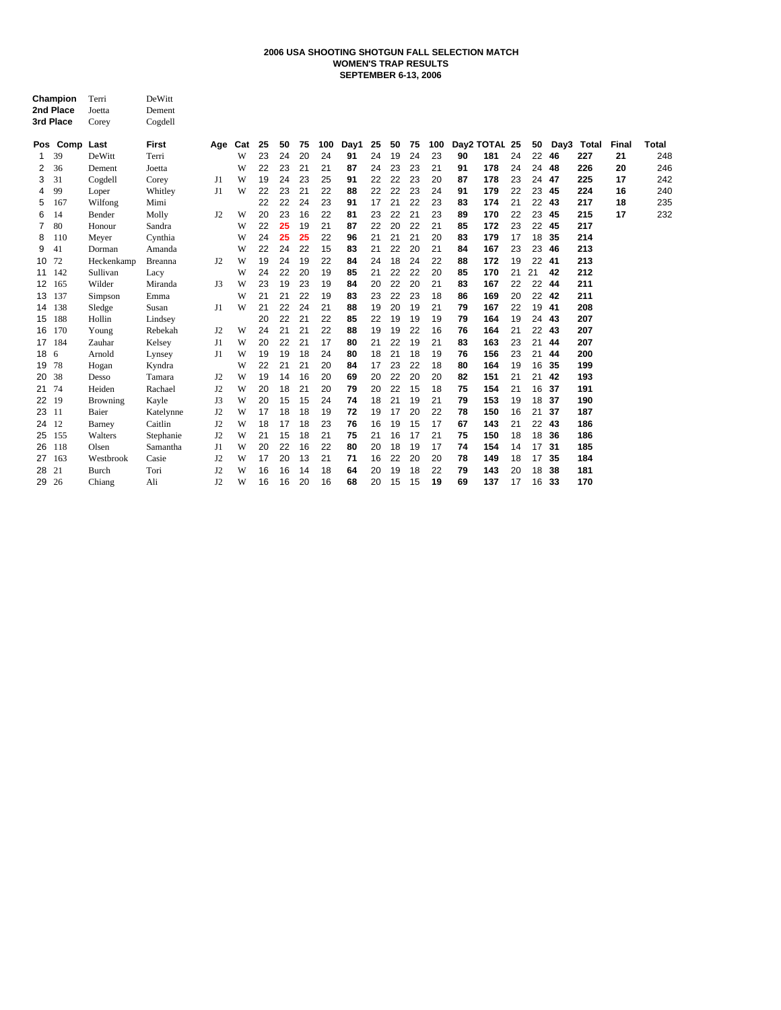#### **WOMEN'S TRAP RESULTS SEPTEMBER 6-13, 2006 2006 USA SHOOTING SHOTGUN FALL SELECTION MATCH**

|    | Champion<br>2nd Place<br>3rd Place | Terri<br>Joetta<br>Corey | DeWitt<br>Dement<br>Cogdell |                |     |    |    |    |     |      |    |    |    |     |    |               |    |    |      |       |       |       |
|----|------------------------------------|--------------------------|-----------------------------|----------------|-----|----|----|----|-----|------|----|----|----|-----|----|---------------|----|----|------|-------|-------|-------|
|    | Pos Comp Last                      |                          | <b>First</b>                | Age            | Cat | 25 | 50 | 75 | 100 | Day1 | 25 | 50 | 75 | 100 |    | Day2 TOTAL 25 |    | 50 | Day3 | Total | Final | Total |
| 1  | 39                                 | DeWitt                   | Terri                       |                | W   | 23 | 24 | 20 | 24  | 91   | 24 | 19 | 24 | 23  | 90 | 181           | 24 | 22 | 46   | 227   | 21    | 248   |
| 2  | 36                                 | Dement                   | Joetta                      |                | W   | 22 | 23 | 21 | 21  | 87   | 24 | 23 | 23 | 21  | 91 | 178           | 24 | 24 | 48   | 226   | 20    | 246   |
| 3  | 31                                 | Cogdell                  | Corey                       | J1             | W   | 19 | 24 | 23 | 25  | 91   | 22 | 22 | 23 | 20  | 87 | 178           | 23 | 24 | 47   | 225   | 17    | 242   |
| 4  | 99                                 | Loper                    | Whitley                     | J1             | W   | 22 | 23 | 21 | 22  | 88   | 22 | 22 | 23 | 24  | 91 | 179           | 22 | 23 | 45   | 224   | 16    | 240   |
| 5  | 167                                | Wilfong                  | Mimi                        |                |     | 22 | 22 | 24 | 23  | 91   | 17 | 21 | 22 | 23  | 83 | 174           | 21 | 22 | 43   | 217   | 18    | 235   |
| 6  | 14                                 | Bender                   | Molly                       | J <sub>2</sub> | W   | 20 | 23 | 16 | 22  | 81   | 23 | 22 | 21 | 23  | 89 | 170           | 22 | 23 | 45   | 215   | 17    | 232   |
| 7  | 80                                 | Honour                   | Sandra                      |                | W   | 22 | 25 | 19 | 21  | 87   | 22 | 20 | 22 | 21  | 85 | 172           | 23 | 22 | 45   | 217   |       |       |
| 8  | 110                                | Meyer                    | Cynthia                     |                | W   | 24 | 25 | 25 | 22  | 96   | 21 | 21 | 21 | 20  | 83 | 179           | 17 | 18 | 35   | 214   |       |       |
| 9  | 41                                 | Dorman                   | Amanda                      |                | W   | 22 | 24 | 22 | 15  | 83   | 21 | 22 | 20 | 21  | 84 | 167           | 23 | 23 | 46   | 213   |       |       |
| 10 | 72                                 | Heckenkamp               | <b>Breanna</b>              | J2             | W   | 19 | 24 | 19 | 22  | 84   | 24 | 18 | 24 | 22  | 88 | 172           | 19 | 22 | 41   | 213   |       |       |
| 11 | 142                                | Sullivan                 | Lacy                        |                | W   | 24 | 22 | 20 | 19  | 85   | 21 | 22 | 22 | 20  | 85 | 170           | 21 | 21 | 42   | 212   |       |       |
| 12 | 165                                | Wilder                   | Miranda                     | J3             | W   | 23 | 19 | 23 | 19  | 84   | 20 | 22 | 20 | 21  | 83 | 167           | 22 | 22 | 44   | 211   |       |       |
| 13 | 137                                | Simpson                  | Emma                        |                | W   | 21 | 21 | 22 | 19  | 83   | 23 | 22 | 23 | 18  | 86 | 169           | 20 | 22 | 42   | 211   |       |       |
| 14 | 138                                | Sledge                   | Susan                       | J1             | W   | 21 | 22 | 24 | 21  | 88   | 19 | 20 | 19 | 21  | 79 | 167           | 22 | 19 | 41   | 208   |       |       |
| 15 | 188                                | Hollin                   | Lindsey                     |                |     | 20 | 22 | 21 | 22  | 85   | 22 | 19 | 19 | 19  | 79 | 164           | 19 | 24 | 43   | 207   |       |       |
| 16 | 170                                | Young                    | Rebekah                     | J2             | W   | 24 | 21 | 21 | 22  | 88   | 19 | 19 | 22 | 16  | 76 | 164           | 21 | 22 | 43   | 207   |       |       |
| 17 | 184                                | Zauhar                   | Kelsey                      | J1             | W   | 20 | 22 | 21 | 17  | 80   | 21 | 22 | 19 | 21  | 83 | 163           | 23 | 21 | 44   | 207   |       |       |
| 18 | 6                                  | Arnold                   | Lynsey                      | J1             | W   | 19 | 19 | 18 | 24  | 80   | 18 | 21 | 18 | 19  | 76 | 156           | 23 | 21 | 44   | 200   |       |       |
| 19 | 78                                 | Hogan                    | Kyndra                      |                | W   | 22 | 21 | 21 | 20  | 84   | 17 | 23 | 22 | 18  | 80 | 164           | 19 | 16 | 35   | 199   |       |       |
| 20 | 38                                 | Desso                    | Tamara                      | J <sub>2</sub> | W   | 19 | 14 | 16 | 20  | 69   | 20 | 22 | 20 | 20  | 82 | 151           | 21 | 21 | 42   | 193   |       |       |
| 21 | 74                                 | Heiden                   | Rachael                     | J2             | W   | 20 | 18 | 21 | 20  | 79   | 20 | 22 | 15 | 18  | 75 | 154           | 21 | 16 | 37   | 191   |       |       |
| 22 | 19                                 | <b>Browning</b>          | Kayle                       | J3             | W   | 20 | 15 | 15 | 24  | 74   | 18 | 21 | 19 | 21  | 79 | 153           | 19 | 18 | 37   | 190   |       |       |
| 23 | 11                                 | Baier                    | Katelynne                   | J <sub>2</sub> | W   | 17 | 18 | 18 | 19  | 72   | 19 | 17 | 20 | 22  | 78 | 150           | 16 | 21 | 37   | 187   |       |       |
| 24 | 12                                 | Barney                   | Caitlin                     | J <sub>2</sub> | W   | 18 | 17 | 18 | 23  | 76   | 16 | 19 | 15 | 17  | 67 | 143           | 21 | 22 | 43   | 186   |       |       |
| 25 | 155                                | Walters                  | Stephanie                   | J <sub>2</sub> | W   | 21 | 15 | 18 | 21  | 75   | 21 | 16 | 17 | 21  | 75 | 150           | 18 | 18 | 36   | 186   |       |       |
| 26 | 118                                | Olsen                    | Samantha                    | J1             | W   | 20 | 22 | 16 | 22  | 80   | 20 | 18 | 19 | 17  | 74 | 154           | 14 | 17 | 31   | 185   |       |       |
| 27 | 163                                | Westbrook                | Casie                       | J <sub>2</sub> | W   | 17 | 20 | 13 | 21  | 71   | 16 | 22 | 20 | 20  | 78 | 149           | 18 | 17 | 35   | 184   |       |       |
| 28 | 21                                 | Burch                    | Tori                        | J2             | W   | 16 | 16 | 14 | 18  | 64   | 20 | 19 | 18 | 22  | 79 | 143           | 20 | 18 | 38   | 181   |       |       |
| 29 | 26                                 | Chiang                   | Ali                         | J2             | W   | 16 | 16 | 20 | 16  | 68   | 20 | 15 | 15 | 19  | 69 | 137           | 17 | 16 | 33   | 170   |       |       |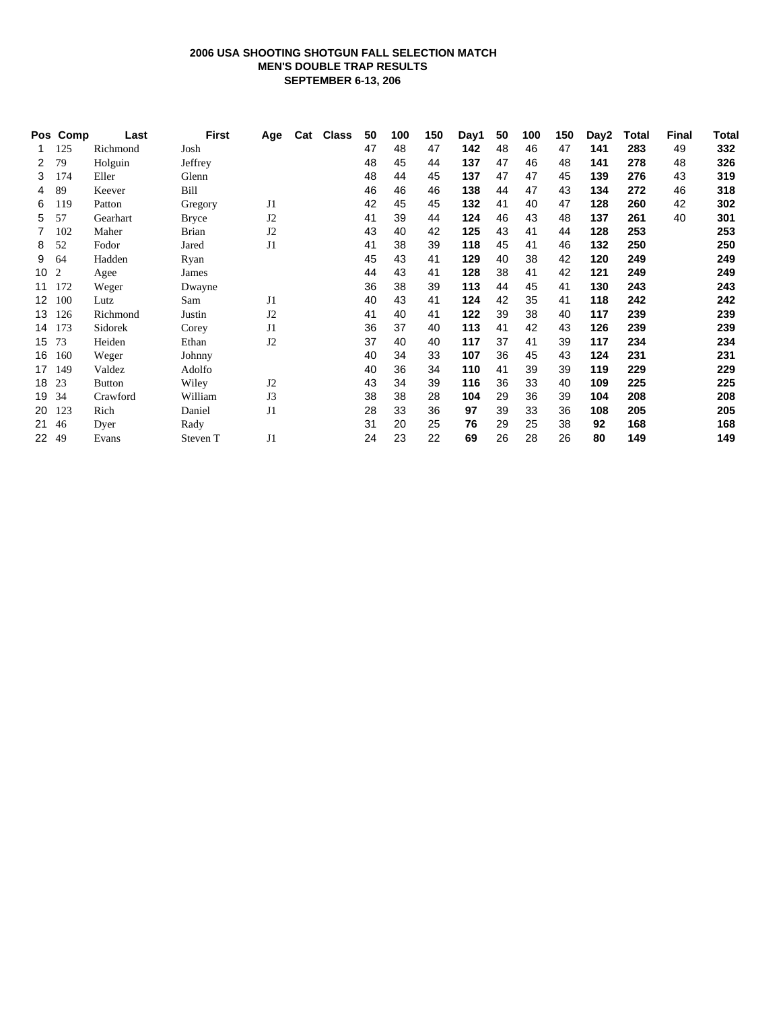# **2006 USA SHOOTING SHOTGUN FALL SELECTION MATCH MEN'S DOUBLE TRAP RESULTS SEPTEMBER 6-13, 206**

|    | Pos Comp | Last          | First        | Age            | Cat Class | 50 | 100 | 150 | Day1 | 50 | 100 | 150 | Day2 | Total | <b>Final</b> | Total |
|----|----------|---------------|--------------|----------------|-----------|----|-----|-----|------|----|-----|-----|------|-------|--------------|-------|
|    | 125      | Richmond      | Josh         |                |           | 47 | 48  | 47  | 142  | 48 | 46  | 47  | 141  | 283   | 49           | 332   |
| 2  | 79       | Holguin       | Jeffrey      |                |           | 48 | 45  | 44  | 137  | 47 | 46  | 48  | 141  | 278   | 48           | 326   |
| 3  | 174      | Eller         | Glenn        |                |           | 48 | 44  | 45  | 137  | 47 | 47  | 45  | 139  | 276   | 43           | 319   |
| 4  | 89       | Keever        | Bill         |                |           | 46 | 46  | 46  | 138  | 44 | 47  | 43  | 134  | 272   | 46           | 318   |
| 6  | 119      | Patton        | Gregory      | J <sub>1</sub> |           | 42 | 45  | 45  | 132  | 41 | 40  | 47  | 128  | 260   | 42           | 302   |
| 5. | 57       | Gearhart      | <b>Bryce</b> | J2             |           | 41 | 39  | 44  | 124  | 46 | 43  | 48  | 137  | 261   | 40           | 301   |
| 7  | 102      | Maher         | <b>Brian</b> | J2             |           | 43 | 40  | 42  | 125  | 43 | 41  | 44  | 128  | 253   |              | 253   |
| 8  | 52       | Fodor         | Jared        | J1             |           | 41 | 38  | 39  | 118  | 45 | 41  | 46  | 132  | 250   |              | 250   |
| 9  | 64       | Hadden        | Ryan         |                |           | 45 | 43  | 41  | 129  | 40 | 38  | 42  | 120  | 249   |              | 249   |
| 10 | 2        | Agee          | James        |                |           | 44 | 43  | 41  | 128  | 38 | 41  | 42  | 121  | 249   |              | 249   |
| 11 | 172      | Weger         | Dwayne       |                |           | 36 | 38  | 39  | 113  | 44 | 45  | 41  | 130  | 243   |              | 243   |
| 12 | 100      | Lutz          | Sam          | J <sub>1</sub> |           | 40 | 43  | 41  | 124  | 42 | 35  | 41  | 118  | 242   |              | 242   |
| 13 | 126      | Richmond      | Justin       | J <sub>2</sub> |           | 41 | 40  | 41  | 122  | 39 | 38  | 40  | 117  | 239   |              | 239   |
| 14 | 173      | Sidorek       | Corey        | J1             |           | 36 | 37  | 40  | 113  | 41 | 42  | 43  | 126  | 239   |              | 239   |
| 15 | 73       | Heiden        | Ethan        | J2             |           | 37 | 40  | 40  | 117  | 37 | 41  | 39  | 117  | 234   |              | 234   |
| 16 | 160      | Weger         | Johnny       |                |           | 40 | 34  | 33  | 107  | 36 | 45  | 43  | 124  | 231   |              | 231   |
| 17 | 149      | Valdez        | Adolfo       |                |           | 40 | 36  | 34  | 110  | 41 | 39  | 39  | 119  | 229   |              | 229   |
| 18 | 23       | <b>Button</b> | Wiley        | J <sub>2</sub> |           | 43 | 34  | 39  | 116  | 36 | 33  | 40  | 109  | 225   |              | 225   |
| 19 | 34       | Crawford      | William      | J3             |           | 38 | 38  | 28  | 104  | 29 | 36  | 39  | 104  | 208   |              | 208   |
| 20 | 123      | Rich          | Daniel       | J1             |           | 28 | 33  | 36  | 97   | 39 | 33  | 36  | 108  | 205   |              | 205   |
| 21 | 46       | Dyer          | Rady         |                |           | 31 | 20  | 25  | 76   | 29 | 25  | 38  | 92   | 168   |              | 168   |
| 22 | 49       | Evans         | Steven T     | J <sub>1</sub> |           | 24 | 23  | 22  | 69   | 26 | 28  | 26  | 80   | 149   |              | 149   |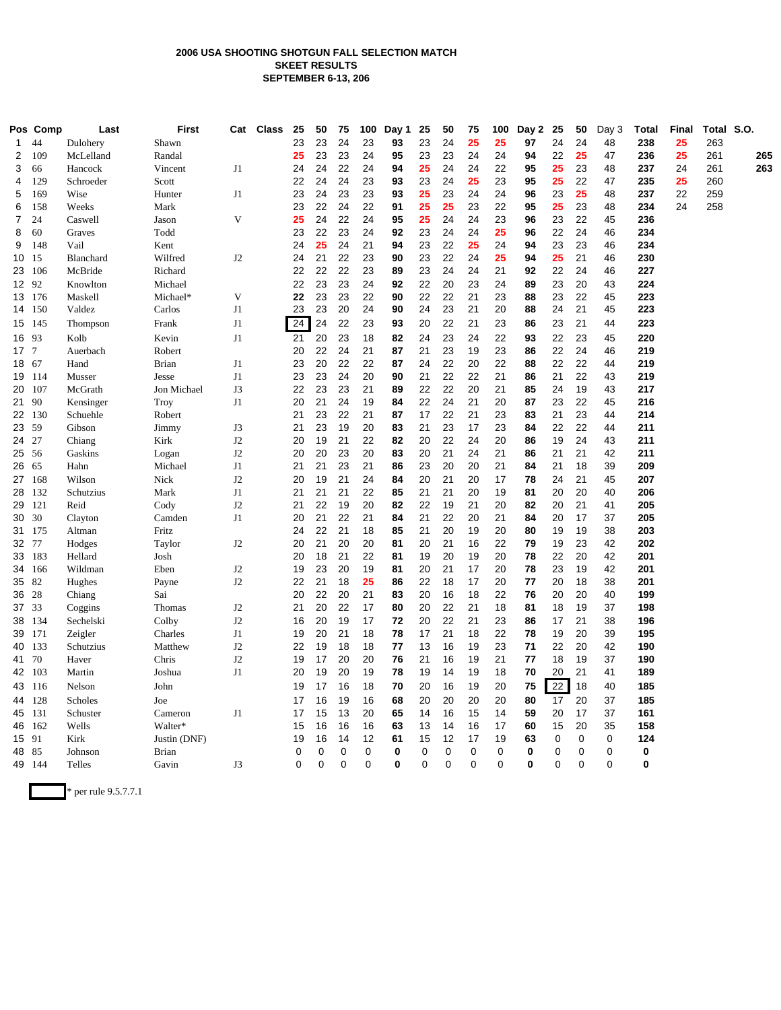## **2006 USA SHOOTING SHOTGUN FALL SELECTION MATCH SKEET RESULTS SEPTEMBER 6-13, 206**

|                 | Pos Comp | Last              | <b>First</b>   |    | Cat Class | 25       | 50       | 75          | 100      | Day 1    | 25       | 50          | 75          | 100      | Day 2    | 25       | 50          | Day 3    | <b>Total</b> | Final | Total S.O. |     |
|-----------------|----------|-------------------|----------------|----|-----------|----------|----------|-------------|----------|----------|----------|-------------|-------------|----------|----------|----------|-------------|----------|--------------|-------|------------|-----|
| 1               | 44       | Dulohery          | Shawn          |    |           | 23       | 23       | 24          | 23       | 93       | 23       | 24          | 25          | 25       | 97       | 24       | 24          | 48       | 238          | 25    | 263        |     |
| 2               | 109      | McLelland         | Randal         |    |           | 25       | 23       | 23          | 24       | 95       | 23       | 23          | 24          | 24       | 94       | 22       | 25          | 47       | 236          | 25    | 261        | 265 |
| 3               | 66       | Hancock           | Vincent        | J1 |           | 24       | 24       | 22          | 24       | 94       | 25       | 24          | 24          | 22       | 95       | 25       | 23          | 48       | 237          | 24    | 261        | 263 |
| 4               | 129      | Schroeder         | Scott          |    |           | 22       | 24       | 24          | 23       | 93       | 23       | 24          | 25          | 23       | 95       | 25       | 22          | 47       | 235          | 25    | 260        |     |
| 5               | 169      | Wise              | Hunter         | J1 |           | 23       | 24       | 23          | 23       | 93       | 25       | 23          | 24          | 24       | 96       | 23       | 25          | 48       | 237          | 22    | 259        |     |
| 6               | 158      | Weeks             | Mark           |    |           | 23       | 22       | 24          | 22       | 91       | 25       | 25          | 23          | 22       | 95       | 25       | 23          | 48       | 234          | 24    | 258        |     |
| $\overline{7}$  | 24       | Caswell           | Jason          | V  |           | 25       | 24       | 22          | 24       | 95       | 25       | 24          | 24          | 23       | 96       | 23       | 22          | 45       | 236          |       |            |     |
| 8               | 60       | Graves            | Todd           |    |           | 23       | 22       | 23          | 24       | 92       | 23       | 24          | 24          | 25       | 96       | 22       | 24          | 46       | 234          |       |            |     |
| 9               | 148      | Vail              | Kent           |    |           | 24       | 25       | 24          | 21       | 94       | 23       | 22          | 25          | 24       | 94       | 23       | 23          | 46       | 234          |       |            |     |
| 10 15           |          | Blanchard         | Wilfred        | J2 |           | 24       | 21       | 22          | 23       | 90       | 23       | 22          | 24          | 25       | 94       | 25       | 21          | 46       | 230          |       |            |     |
| 23 106          |          | McBride           | Richard        |    |           | 22       | 22       | 22          | 23       | 89       | 23       | 24          | 24          | 21       | 92       | 22       | 24          | 46       | 227          |       |            |     |
| 12 92           |          | Knowlton          | Michael        |    |           | 22       | 23       | 23          | 24       | 92       | 22       | 20          | 23          | 24       | 89       | 23       | 20          | 43       | 224          |       |            |     |
| 13 176          |          | Maskell           | Michael*       | V  |           | 22       | 23       | 23          | 22       | 90       | 22       | 22          | 21          | 23       | 88       | 23       | 22          | 45       | 223          |       |            |     |
| 14 150          |          | Valdez            | Carlos         | J1 |           | 23       | 23       | 20          | 24       | 90       | 24       | 23          | 21          | 20       | 88       | 24       | 21          | 45       | 223          |       |            |     |
| 15 145          |          | Thompson          | Frank          | J1 |           | 24       | 24       | 22          | 23       | 93       | 20       | 22          | 21          | 23       | 86       | 23       | 21          | 44       | 223          |       |            |     |
| 16 93           |          | Kolb              | Kevin          | J1 |           | 21       | 20       | 23          | 18       | 82       | 24       | 23          | 24          | 22       | 93       | 22       | 23          | 45       | 220          |       |            |     |
| 17 <sub>7</sub> |          | Auerbach          | Robert         |    |           | 20       | 22       | 24          | 21       | 87       | 21       | 23          | 19          | 23       | 86       | 22       | 24          | 46       | 219          |       |            |     |
| 18 67           |          | Hand              | <b>Brian</b>   | J1 |           | 23       | 20       | 22          | 22       | 87       | 24       | 22          | 20          | 22       | 88       | 22       | 22          | 44       | 219          |       |            |     |
| 19 114          |          | Musser            | Jesse          | J1 |           | 23       | 23       | 24          | 20       | 90       | 21       | 22          | 22          | 21       | 86       | 21       | 22          | 43       | 219          |       |            |     |
| 20 107          |          | McGrath           | Jon Michael    | J3 |           | 22       | 23       | 23          | 21       | 89       | 22       | 22          | 20          | 21       | 85       | 24       | 19          | 43       | 217          |       |            |     |
| 21 90           |          | Kensinger         | Troy           | J1 |           | 20       | 21       | 24          | 19       | 84       | 22       | 24          | 21          | 20       | 87       | 23       | 22          | 45       | 216          |       |            |     |
| 22 130          |          | Schuehle          | Robert         |    |           | 21       | 23       | 22          | 21       | 87       | 17       | 22          | 21          | 23       | 83       | 21       | 23          | 44       | 214          |       |            |     |
| 23 59           |          | Gibson            | Jimmy          | J3 |           | 21       | 23       | 19          | 20       | 83       | 21       | 23          | 17          | 23       | 84       | 22       | 22          | 44       | 211          |       |            |     |
| 24 27           |          | Chiang            | Kirk           | J2 |           | 20       | 19       | 21          | 22       | 82       | 20       | 22          | 24          | 20       | 86       | 19       | 24          | 43       | 211          |       |            |     |
| 25 56           |          | Gaskins           | Logan          | J2 |           | 20       | 20       | 23          | 20       | 83       | 20       | 21          | 24          | 21       | 86       | 21       | 21          | 42       | 211          |       |            |     |
| 26 65           |          | Hahn              | Michael        | J1 |           | 21       | 21       | 23          | 21       | 86       | 23       | 20          | 20          | 21       | 84       | 21       | 18          | 39       | 209          |       |            |     |
| 27 168          |          | Wilson            | Nick           | J2 |           | 20       | 19       | 21          | 24       | 84       | 20       | 21          | 20          | 17       | 78       | 24       | 21          | 45       | 207          |       |            |     |
| 28 132          |          | Schutzius         | Mark           | J1 |           | 21       | 21       | 21          | 22       | 85       | 21       | 21          | 20          | 19       | 81       | 20       | 20          | 40       | 206          |       |            |     |
| 29 121          |          | Reid              | Cody           | J2 |           | 21       | 22       | 19          | 20       | 82       | 22       | 19          | 21          | 20       | 82       | 20       | 21          | 41       | 205          |       |            |     |
| 30 30           |          | Clayton           | Camden         | J1 |           | 20       | 21       | 22          | 21       | 84       | 21       | 22          | 20          | 21       | 84       | 20       | 17          | 37       | 205          |       |            |     |
| 31 175          |          | Altman            | Fritz          |    |           | 24       | 22<br>21 | 21<br>20    | 18<br>20 | 85       | 21       | 20          | 19<br>16    | 20       | 80       | 19<br>19 | 19          | 38<br>42 | 203<br>202   |       |            |     |
| 32 77<br>33 183 |          | Hodges<br>Hellard | Taylor<br>Josh | J2 |           | 20<br>20 | 18       | 21          | 22       | 81<br>81 | 20<br>19 | 21<br>20    | 19          | 22<br>20 | 79<br>78 | 22       | 23<br>20    | 42       | 201          |       |            |     |
| 34 166          |          | Wildman           | Eben           | J2 |           | 19       | 23       | 20          | 19       | 81       | 20       | 21          | 17          | 20       | 78       | 23       | 19          | 42       | 201          |       |            |     |
| 35 82           |          | Hughes            | Payne          | J2 |           | 22       | 21       | 18          | 25       | 86       | 22       | 18          | 17          | 20       | 77       | 20       | 18          | 38       | 201          |       |            |     |
| 36 28           |          | Chiang            | Sai            |    |           | 20       | 22       | 20          | 21       | 83       | 20       | 16          | 18          | 22       | 76       | 20       | 20          | 40       | 199          |       |            |     |
| 37 33           |          | Coggins           | Thomas         | J2 |           | 21       | 20       | 22          | 17       | 80       | 20       | 22          | 21          | 18       | 81       | 18       | 19          | 37       | 198          |       |            |     |
| 38 134          |          | Sechelski         | Colby          | J2 |           | 16       | 20       | 19          | 17       | 72       | 20       | 22          | 21          | 23       | 86       | 17       | 21          | 38       | 196          |       |            |     |
| 39 171          |          | Zeigler           | Charles        | J1 |           | 19       | 20       | 21          | 18       | 78       | 17       | 21          | 18          | 22       | 78       | 19       | 20          | 39       | 195          |       |            |     |
| 40 133          |          | Schutzius         | Matthew        | J2 |           | 22       | 19       | 18          | 18       | 77       | 13       | 16          | 19          | 23       | 71       | 22       | 20          | 42       | 190          |       |            |     |
| 41 70           |          | Haver             | Chris          | J2 |           | 19       | 17       | 20          | 20       | 76       | 21       | 16          | 19          | 21       | 77       | 18       | 19          | 37       | 190          |       |            |     |
| 42 103          |          | Martin            | Joshua         | J1 |           | 20       | 19       | 20          | 19       | 78       | 19       | 14          | 19          | 18       | 70       | 20       | 21          | 41       | 189          |       |            |     |
| 43 116          |          | Nelson            | John           |    |           | 19       | 17       | 16          | 18       | 70       | 20       | 16          | 19          | 20       | 75       | 22       | 18          | 40       | 185          |       |            |     |
| 44 128          |          | Scholes           | Joe            |    |           | 17       | 16       | 19          | 16       | 68       | 20       | 20          | 20          | 20       | 80       | 17       | 20          | 37       | 185          |       |            |     |
| 45 131          |          |                   | Cameron        | J1 |           | 17       | 15       | 13          | 20       | 65       |          | 16          | 15          |          | 59       | 20       | 17          | 37       | 161          |       |            |     |
| 46 162          |          | Schuster<br>Wells | Walter*        |    |           | 15       | 16       | 16          | 16       | 63       | 14<br>13 | 14          | 16          | 14<br>17 | 60       | 15       | 20          | 35       | 158          |       |            |     |
| 15 91           |          | Kirk              | Justin (DNF)   |    |           | 19       | 16       | 14          | 12       | 61       | 15       | 12          | 17          | 19       | 63       | 0        | 0           | 0        | 124          |       |            |     |
| 48 85           |          | Johnson           | <b>Brian</b>   |    |           | 0        | 0        | 0           | 0        | 0        | 0        | 0           | $\mathbf 0$ | 0        | 0        | 0        | 0           | 0        | 0            |       |            |     |
| 49 144          |          | Telles            | Gavin          | J3 |           | $\Omega$ | $\Omega$ | $\mathbf 0$ | $\Omega$ | 0        | 0        | $\mathbf 0$ | $\mathbf 0$ | $\Omega$ | 0        | $\Omega$ | $\mathbf 0$ | $\Omega$ | 0            |       |            |     |
|                 |          |                   |                |    |           |          |          |             |          |          |          |             |             |          |          |          |             |          |              |       |            |     |

\* per rule 9.5.7.7.1